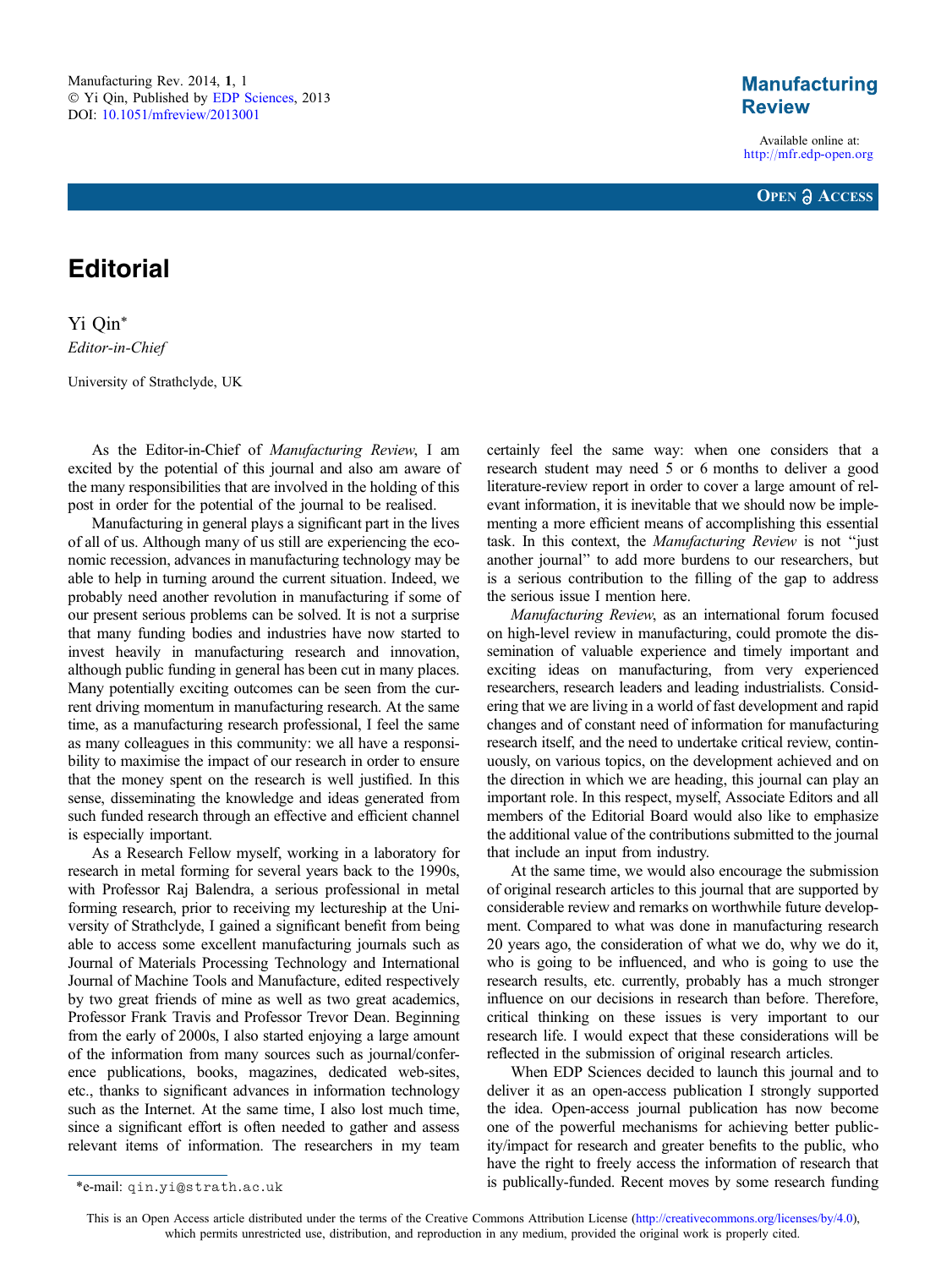## **Manufacturing Review**

Available online at: <http://mfr.edp-open.org>



## **Editorial**

Yi Qin\* Editor-in-Chief

University of Strathclyde, UK

As the Editor-in-Chief of Manufacturing Review, I am excited by the potential of this journal and also am aware of the many responsibilities that are involved in the holding of this post in order for the potential of the journal to be realised.

Manufacturing in general plays a significant part in the lives of all of us. Although many of us still are experiencing the economic recession, advances in manufacturing technology may be able to help in turning around the current situation. Indeed, we probably need another revolution in manufacturing if some of our present serious problems can be solved. It is not a surprise that many funding bodies and industries have now started to invest heavily in manufacturing research and innovation, although public funding in general has been cut in many places. Many potentially exciting outcomes can be seen from the current driving momentum in manufacturing research. At the same time, as a manufacturing research professional, I feel the same as many colleagues in this community: we all have a responsibility to maximise the impact of our research in order to ensure that the money spent on the research is well justified. In this sense, disseminating the knowledge and ideas generated from such funded research through an effective and efficient channel is especially important.

As a Research Fellow myself, working in a laboratory for research in metal forming for several years back to the 1990s, with Professor Raj Balendra, a serious professional in metal forming research, prior to receiving my lectureship at the University of Strathclyde, I gained a significant benefit from being able to access some excellent manufacturing journals such as Journal of Materials Processing Technology and International Journal of Machine Tools and Manufacture, edited respectively by two great friends of mine as well as two great academics, Professor Frank Travis and Professor Trevor Dean. Beginning from the early of 2000s, I also started enjoying a large amount of the information from many sources such as journal/conference publications, books, magazines, dedicated web-sites, etc., thanks to significant advances in information technology such as the Internet. At the same time, I also lost much time, since a significant effort is often needed to gather and assess relevant items of information. The researchers in my team

certainly feel the same way: when one considers that a research student may need 5 or 6 months to deliver a good literature-review report in order to cover a large amount of relevant information, it is inevitable that we should now be implementing a more efficient means of accomplishing this essential task. In this context, the Manufacturing Review is not ''just another journal'' to add more burdens to our researchers, but is a serious contribution to the filling of the gap to address the serious issue I mention here.

Manufacturing Review, as an international forum focused on high-level review in manufacturing, could promote the dissemination of valuable experience and timely important and exciting ideas on manufacturing, from very experienced researchers, research leaders and leading industrialists. Considering that we are living in a world of fast development and rapid changes and of constant need of information for manufacturing research itself, and the need to undertake critical review, continuously, on various topics, on the development achieved and on the direction in which we are heading, this journal can play an important role. In this respect, myself, Associate Editors and all members of the Editorial Board would also like to emphasize the additional value of the contributions submitted to the journal that include an input from industry.

At the same time, we would also encourage the submission of original research articles to this journal that are supported by considerable review and remarks on worthwhile future development. Compared to what was done in manufacturing research 20 years ago, the consideration of what we do, why we do it, who is going to be influenced, and who is going to use the research results, etc. currently, probably has a much stronger influence on our decisions in research than before. Therefore, critical thinking on these issues is very important to our research life. I would expect that these considerations will be reflected in the submission of original research articles.

When EDP Sciences decided to launch this journal and to deliver it as an open-access publication I strongly supported the idea. Open-access journal publication has now become one of the powerful mechanisms for achieving better publicity/impact for research and greater benefits to the public, who have the right to freely access the information of research that is publically-funded. Recent moves by some research funding \*e-mail: qin.yi@strath.ac.uk

This is an Open Access article distributed under the terms of the Creative Commons Attribution License ([http://creativecommons.org/licenses/by/4.0\),](http://creativecommons.org/licenses/by/4.0/) [which permits unrestricted use, distribution, and reproduction in any medium, provided the original work is properly cited.](http://creativecommons.org/licenses/by/4.0/)